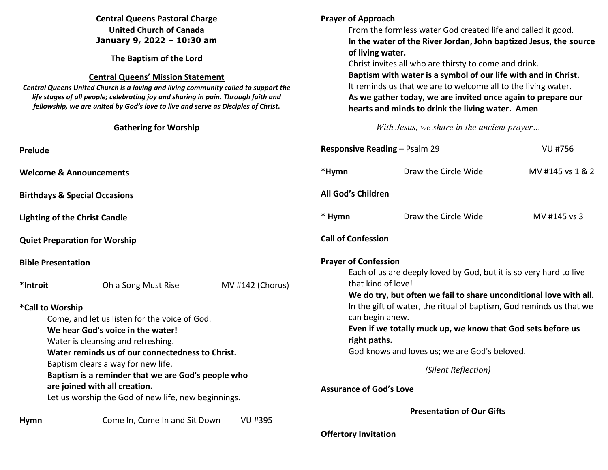| <b>Central Queens Pastoral Charge</b><br><b>United Church of Canada</b><br>January 9, 2022 - 10:30 am<br>The Baptism of the Lord<br><b>Central Queens' Mission Statement</b><br>Central Queens United Church is a loving and living community called to support the<br>life stages of all people; celebrating joy and sharing in pain. Through faith and<br>fellowship, we are united by God's love to live and serve as Disciples of Christ.<br><b>Gathering for Worship</b> |                                                                                        |                  | <b>Prayer of Approach</b><br>From the formless water God created life and called it good.<br>In the water of the River Jordan, John baptized Jesus, the source<br>of living water.<br>Christ invites all who are thirsty to come and drink.<br>Baptism with water is a symbol of our life with and in Christ.<br>It reminds us that we are to welcome all to the living water.<br>As we gather today, we are invited once again to prepare our<br>hearts and minds to drink the living water. Amen<br>With Jesus, we share in the ancient prayer |                                                                                                                                                       |                  |  |
|-------------------------------------------------------------------------------------------------------------------------------------------------------------------------------------------------------------------------------------------------------------------------------------------------------------------------------------------------------------------------------------------------------------------------------------------------------------------------------|----------------------------------------------------------------------------------------|------------------|--------------------------------------------------------------------------------------------------------------------------------------------------------------------------------------------------------------------------------------------------------------------------------------------------------------------------------------------------------------------------------------------------------------------------------------------------------------------------------------------------------------------------------------------------|-------------------------------------------------------------------------------------------------------------------------------------------------------|------------------|--|
| Prelude                                                                                                                                                                                                                                                                                                                                                                                                                                                                       |                                                                                        |                  |                                                                                                                                                                                                                                                                                                                                                                                                                                                                                                                                                  | <b>Responsive Reading - Psalm 29</b><br><b>VU #756</b>                                                                                                |                  |  |
|                                                                                                                                                                                                                                                                                                                                                                                                                                                                               | <b>Welcome &amp; Announcements</b>                                                     |                  | *Hymn                                                                                                                                                                                                                                                                                                                                                                                                                                                                                                                                            | Draw the Circle Wide                                                                                                                                  | MV #145 vs 1 & 2 |  |
| <b>Birthdays &amp; Special Occasions</b>                                                                                                                                                                                                                                                                                                                                                                                                                                      |                                                                                        |                  |                                                                                                                                                                                                                                                                                                                                                                                                                                                                                                                                                  | All God's Children                                                                                                                                    |                  |  |
| <b>Lighting of the Christ Candle</b>                                                                                                                                                                                                                                                                                                                                                                                                                                          |                                                                                        |                  | * Hymn                                                                                                                                                                                                                                                                                                                                                                                                                                                                                                                                           | Draw the Circle Wide                                                                                                                                  | MV #145 vs 3     |  |
| <b>Quiet Preparation for Worship</b>                                                                                                                                                                                                                                                                                                                                                                                                                                          |                                                                                        |                  |                                                                                                                                                                                                                                                                                                                                                                                                                                                                                                                                                  | <b>Call of Confession</b>                                                                                                                             |                  |  |
| <b>Bible Presentation</b>                                                                                                                                                                                                                                                                                                                                                                                                                                                     |                                                                                        |                  |                                                                                                                                                                                                                                                                                                                                                                                                                                                                                                                                                  | <b>Prayer of Confession</b><br>Each of us are deeply loved by God, but it is so very hard to live                                                     |                  |  |
| *Introit                                                                                                                                                                                                                                                                                                                                                                                                                                                                      | Oh a Song Must Rise                                                                    | MV #142 (Chorus) |                                                                                                                                                                                                                                                                                                                                                                                                                                                                                                                                                  | that kind of love!<br>We do try, but often we fail to share unconditional love with all.                                                              |                  |  |
| *Call to Worship                                                                                                                                                                                                                                                                                                                                                                                                                                                              | Come, and let us listen for the voice of God.                                          |                  |                                                                                                                                                                                                                                                                                                                                                                                                                                                                                                                                                  | In the gift of water, the ritual of baptism, God reminds us that we<br>can begin anew.<br>Even if we totally muck up, we know that God sets before us |                  |  |
|                                                                                                                                                                                                                                                                                                                                                                                                                                                                               | We hear God's voice in the water!                                                      |                  |                                                                                                                                                                                                                                                                                                                                                                                                                                                                                                                                                  |                                                                                                                                                       |                  |  |
|                                                                                                                                                                                                                                                                                                                                                                                                                                                                               | Water is cleansing and refreshing.<br>Water reminds us of our connectedness to Christ. |                  |                                                                                                                                                                                                                                                                                                                                                                                                                                                                                                                                                  | right paths.<br>God knows and loves us; we are God's beloved.                                                                                         |                  |  |
| Baptism clears a way for new life.<br>Baptism is a reminder that we are God's people who                                                                                                                                                                                                                                                                                                                                                                                      |                                                                                        |                  |                                                                                                                                                                                                                                                                                                                                                                                                                                                                                                                                                  | (Silent Reflection)                                                                                                                                   |                  |  |
|                                                                                                                                                                                                                                                                                                                                                                                                                                                                               | are joined with all creation.<br>Let us worship the God of new life, new beginnings.   |                  |                                                                                                                                                                                                                                                                                                                                                                                                                                                                                                                                                  | <b>Assurance of God's Love</b>                                                                                                                        |                  |  |
|                                                                                                                                                                                                                                                                                                                                                                                                                                                                               |                                                                                        |                  |                                                                                                                                                                                                                                                                                                                                                                                                                                                                                                                                                  | <b>Presentation of Our Gifts</b>                                                                                                                      |                  |  |
| <b>Hymn</b>                                                                                                                                                                                                                                                                                                                                                                                                                                                                   | Come In, Come In and Sit Down                                                          | <b>VU #395</b>   | <b>Offertory Invitation</b>                                                                                                                                                                                                                                                                                                                                                                                                                                                                                                                      |                                                                                                                                                       |                  |  |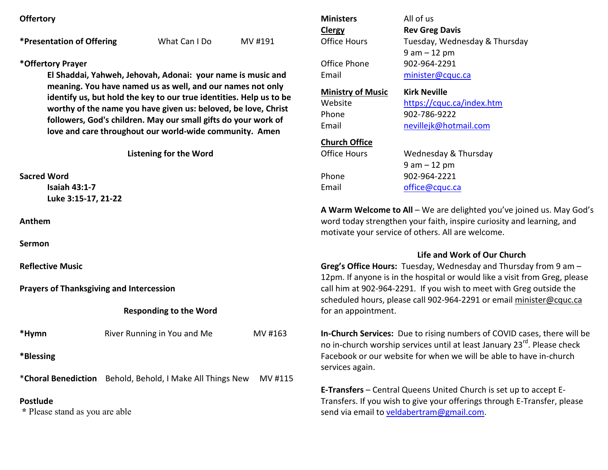**Offertory**

**\*Presentation of Offering** What Can I Do MV #191

## **\*Offertory Prayer**

**El Shaddai, Yahweh, Jehovah, Adonai: your name is music and meaning. You have named us as well, and our names not only identify us, but hold the key to our true identities. Help us to be worthy of the name you have given us: beloved, be love, Christ followers, God's children. May our small gifts do your work of love and care throughout our world-wide community. Amen** 

**Listening for the Word** 

**Sacred Word** 

 **Isaiah 43:1-7 Luke 3:15-17, 21-22** 

**Anthem** 

**Sermon**

**Reflective Music** 

**Prayers of Thanksgiving and Intercession**

**Responding to the Word** 

| *Hymn     | River Running in You and Me | MV #163 |
|-----------|-----------------------------|---------|
| *Blessing |                             |         |

\***Choral Benediction** Behold, Behold, I Make All Things New MV #115

## **Postlude**

 **\*** Please stand as you are able

| <b>Ministers</b>         | All of us                     |  |  |  |  |
|--------------------------|-------------------------------|--|--|--|--|
| <b>Clergy</b>            | <b>Rev Greg Davis</b>         |  |  |  |  |
| Office Hours             | Tuesday, Wednesday & Thursday |  |  |  |  |
|                          | $9$ am $-12$ pm               |  |  |  |  |
| Office Phone             | 902-964-2291                  |  |  |  |  |
| Email                    | minister@cquc.ca              |  |  |  |  |
| <b>Ministry of Music</b> | <b>Kirk Neville</b>           |  |  |  |  |
| Website                  | https://cquc.ca/index.htm     |  |  |  |  |
| Phone                    | 902-786-9222                  |  |  |  |  |
| Email                    | nevillejk@hotmail.com         |  |  |  |  |
| <b>Church Office</b>     |                               |  |  |  |  |
| Office Hours             | Wednesday & Thursday          |  |  |  |  |
|                          | $9$ am $-12$ pm               |  |  |  |  |
| Phone                    | 902-964-2221                  |  |  |  |  |
| Email                    | office@cquc.ca                |  |  |  |  |
|                          |                               |  |  |  |  |

**A Warm Welcome to All** – We are delighted you've joined us. May God's word today strengthen your faith, inspire curiosity and learning, and motivate your service of others. All are welcome.

## **Life and Work of Our Church**

**Greg's Office Hours:** Tuesday, Wednesday and Thursday from 9 am – 12pm. If anyone is in the hospital or would like a visit from Greg, please call him at 902-964-2291. If you wish to meet with Greg outside the scheduled hours, please call 902-964-2291 or email minister@cquc.ca for an appointment.

**In-Church Services:** Due to rising numbers of COVID cases, there will be no in-church worship services until at least January 23rd. Please check Facebook or our website for when we will be able to have in-church services again.

**E-Transfers** – Central Queens United Church is set up to accept E-Transfers. If you wish to give your offerings through E-Transfer, please send via email to veldabertram@gmail.com.